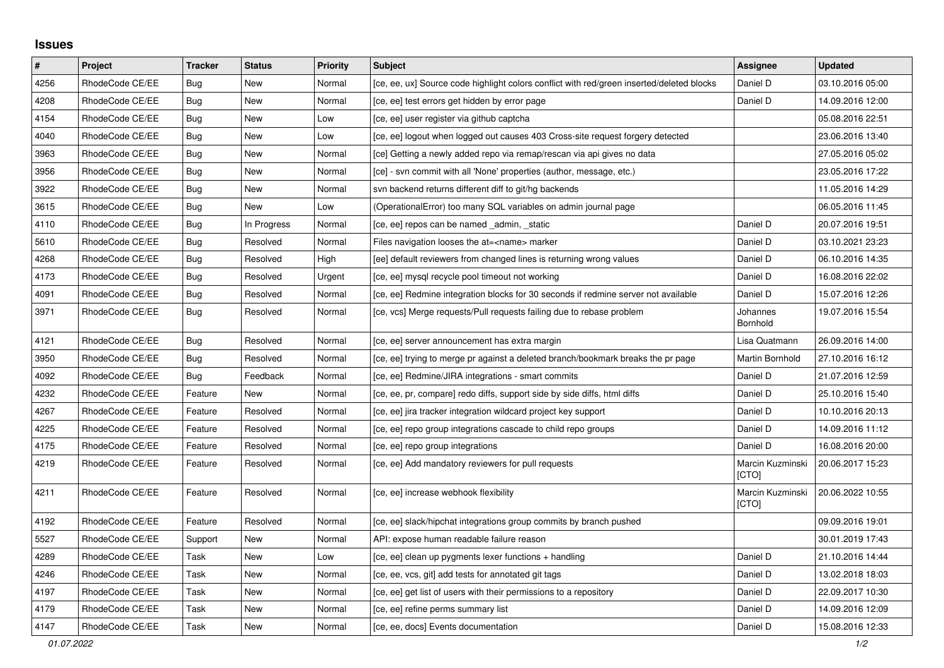## **Issues**

| #    | Project         | <b>Tracker</b> | <b>Status</b> | <b>Priority</b> | <b>Subject</b>                                                                            | <b>Assignee</b>           | <b>Updated</b>   |
|------|-----------------|----------------|---------------|-----------------|-------------------------------------------------------------------------------------------|---------------------------|------------------|
| 4256 | RhodeCode CE/EE | Bug            | <b>New</b>    | Normal          | [ce, ee, ux] Source code highlight colors conflict with red/green inserted/deleted blocks | Daniel D                  | 03.10.2016 05:00 |
| 4208 | RhodeCode CE/EE | Bug            | New           | Normal          | [ce, ee] test errors get hidden by error page                                             | Daniel D                  | 14.09.2016 12:00 |
| 4154 | RhodeCode CE/EE | <b>Bug</b>     | <b>New</b>    | Low             | [ce, ee] user register via github captcha                                                 |                           | 05.08.2016 22:51 |
| 4040 | RhodeCode CE/EE | Bug            | <b>New</b>    | Low             | [ce, ee] logout when logged out causes 403 Cross-site request forgery detected            |                           | 23.06.2016 13:40 |
| 3963 | RhodeCode CE/EE | Bug            | <b>New</b>    | Normal          | [ce] Getting a newly added repo via remap/rescan via api gives no data                    |                           | 27.05.2016 05:02 |
| 3956 | RhodeCode CE/EE | <b>Bug</b>     | <b>New</b>    | Normal          | [ce] - svn commit with all 'None' properties (author, message, etc.)                      |                           | 23.05.2016 17:22 |
| 3922 | RhodeCode CE/EE | <b>Bug</b>     | <b>New</b>    | Normal          | svn backend returns different diff to git/hg backends                                     |                           | 11.05.2016 14:29 |
| 3615 | RhodeCode CE/EE | <b>Bug</b>     | <b>New</b>    | Low             | (OperationalError) too many SQL variables on admin journal page                           |                           | 06.05.2016 11:45 |
| 4110 | RhodeCode CE/EE | Bug            | In Progress   | Normal          | [ce, ee] repos can be named _admin, _static                                               | Daniel D                  | 20.07.2016 19:51 |
| 5610 | RhodeCode CE/EE | <b>Bug</b>     | Resolved      | Normal          | Files navigation looses the at= <name> marker</name>                                      | Daniel D                  | 03.10.2021 23:23 |
| 4268 | RhodeCode CE/EE | <b>Bug</b>     | Resolved      | High            | [ee] default reviewers from changed lines is returning wrong values                       | Daniel D                  | 06.10.2016 14:35 |
| 4173 | RhodeCode CE/EE | Bug            | Resolved      | Urgent          | [ce, ee] mysql recycle pool timeout not working                                           | Daniel D                  | 16.08.2016 22:02 |
| 4091 | RhodeCode CE/EE | <b>Bug</b>     | Resolved      | Normal          | [ce, ee] Redmine integration blocks for 30 seconds if redmine server not available        | Daniel D                  | 15.07.2016 12:26 |
| 3971 | RhodeCode CE/EE | Bug            | Resolved      | Normal          | [ce, vcs] Merge requests/Pull requests failing due to rebase problem                      | Johannes<br>Bornhold      | 19.07.2016 15:54 |
| 4121 | RhodeCode CE/EE | <b>Bug</b>     | Resolved      | Normal          | [ce, ee] server announcement has extra margin                                             | Lisa Quatmann             | 26.09.2016 14:00 |
| 3950 | RhodeCode CE/EE | <b>Bug</b>     | Resolved      | Normal          | [ce, ee] trying to merge pr against a deleted branch/bookmark breaks the pr page          | Martin Bornhold           | 27.10.2016 16:12 |
| 4092 | RhodeCode CE/EE | Bug            | Feedback      | Normal          | [ce, ee] Redmine/JIRA integrations - smart commits                                        | Daniel D                  | 21.07.2016 12:59 |
| 4232 | RhodeCode CE/EE | Feature        | New           | Normal          | [ce, ee, pr, compare] redo diffs, support side by side diffs, html diffs                  | Daniel D                  | 25.10.2016 15:40 |
| 4267 | RhodeCode CE/EE | Feature        | Resolved      | Normal          | [ce, ee] jira tracker integration wildcard project key support                            | Daniel D                  | 10.10.2016 20:13 |
| 4225 | RhodeCode CE/EE | Feature        | Resolved      | Normal          | [ce, ee] repo group integrations cascade to child repo groups                             | Daniel D                  | 14.09.2016 11:12 |
| 4175 | RhodeCode CE/EE | Feature        | Resolved      | Normal          | [ce, ee] repo group integrations                                                          | Daniel D                  | 16.08.2016 20:00 |
| 4219 | RhodeCode CE/EE | Feature        | Resolved      | Normal          | [ce, ee] Add mandatory reviewers for pull requests                                        | Marcin Kuzminski<br>[CTO] | 20.06.2017 15:23 |
| 4211 | RhodeCode CE/EE | Feature        | Resolved      | Normal          | [ce, ee] increase webhook flexibility                                                     | Marcin Kuzminski<br>[CTO] | 20.06.2022 10:55 |
| 4192 | RhodeCode CE/EE | Feature        | Resolved      | Normal          | [ce, ee] slack/hipchat integrations group commits by branch pushed                        |                           | 09.09.2016 19:01 |
| 5527 | RhodeCode CE/EE | Support        | <b>New</b>    | Normal          | API: expose human readable failure reason                                                 |                           | 30.01.2019 17:43 |
| 4289 | RhodeCode CE/EE | Task           | <b>New</b>    | Low             | [ce, ee] clean up pygments lexer functions + handling                                     | Daniel D                  | 21.10.2016 14:44 |
| 4246 | RhodeCode CE/EE | Task           | New           | Normal          | [ce, ee, vcs, git] add tests for annotated git tags                                       | Daniel D                  | 13.02.2018 18:03 |
| 4197 | RhodeCode CE/EE | Task           | <b>New</b>    | Normal          | [ce, ee] get list of users with their permissions to a repository                         | Daniel D                  | 22.09.2017 10:30 |
| 4179 | RhodeCode CE/EE | Task           | <b>New</b>    | Normal          | [ce, ee] refine perms summary list                                                        | Daniel D                  | 14.09.2016 12:09 |
| 4147 | RhodeCode CE/EE | Task           | New           | Normal          | [ce, ee, docs] Events documentation                                                       | Daniel D                  | 15.08.2016 12:33 |